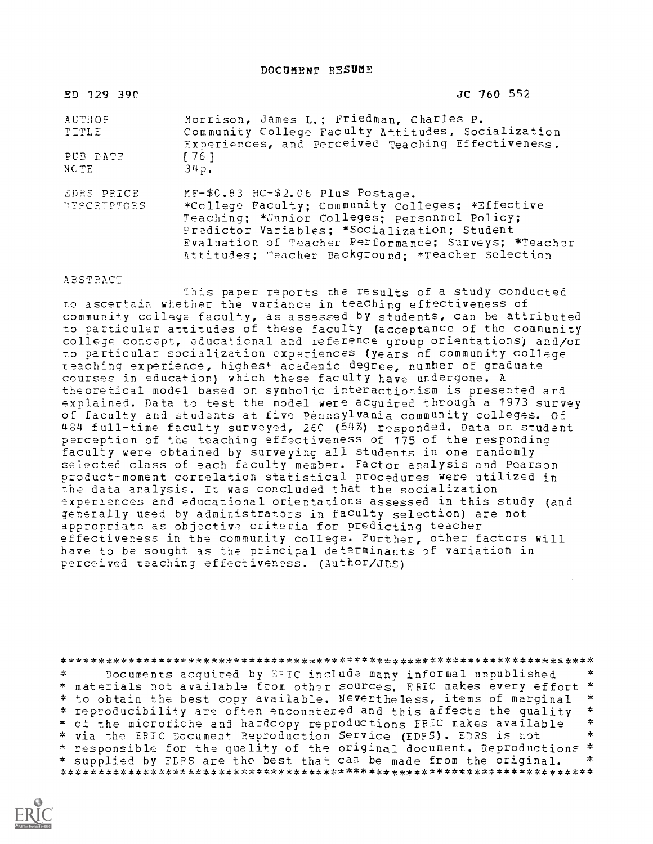DOCUMENT RESUME

| ED 129 390                | JC 760 552                                                                                                                                                                                                                                                                                           |
|---------------------------|------------------------------------------------------------------------------------------------------------------------------------------------------------------------------------------------------------------------------------------------------------------------------------------------------|
| <b>AUTHOR</b><br>TITLE    | Morrison, James L.; Friedman, Charles P.<br>Community College Faculty Attitudes, Socialization<br>Experiences, and Perceived Teaching Effectiveness.                                                                                                                                                 |
| PUB DATE<br>NOTE          | [76]<br>34p.                                                                                                                                                                                                                                                                                         |
| EDRS PRICE<br>DESCRIPTORS | MF-\$C.83 HC-\$2.06 Plus Postage.<br>*College Faculty; Community Colleges; *Effective<br>Teaching; * Junior Colleges; personnel Policy;<br>Predictor Variables; *Socialization; Student<br>Evaluation of Teacher Performance; Surveys; *Teacher<br>Attitudes; Teacher Background; *Teacher Selection |

**ABSTRACT** 

2his paper reports the results of a study conducted to ascertain whether the variance in teaching effectiveness of community college faculty, as assessed by students, can be attributed to particular attitudes of these faculty (acceptance of the community college concept, educational and reference group orientations) and/or to particular socialization experiences (years of community college meaching experience, highest academic degree, number of graduate courses in education) which these faculty have undergone. A theoretical model based on symbolic interactionism is presented and explained. Data to test the model were acquired through a 1973 survey of faculty and students at five Pennsylvania community colleges. Of 484 full-time faculty surveyed, 26C (54%) responded. Data on student perception of the teaching effectiveness of 175 of the responding faculty were obtained by surveying all students in one randomly selected class of each faculty member. Factor analysis and Pearson product-moment correlation statistical procedures were utilized in the data analysis. Iz was concluded that the socialization experiences and educational orientations assessed in this study (and generally used by administrators in faculty selection) are not appropriate as objective criteria for predicting teacher effectiveness in the community college. Further, other factors will have to be sought as the principal determinants of variation in perceived teaching effectiveness. (Author/dps)

#### \*\*\*\*\*\*\*\*\*\*\*\*\*\*\*\*\*\*\*\*\*\*\*\*\*\*\*\*\*\*\*\*\*\*\*\*\*\*\*\*\*\*\*\*\*\*\*\*\*\*\*\*\*\*\*\*\*\*\*\*\*\*\*\*\*\*\*\*\*\*\*

Documents acquired by EFIC include many informal unpublished  $*$ <br>rials not available from other sources. FRIC makes every effort  $*$  $\ast$ \* materials not available from other sources. EFIC makes every effort \*<br>\* to obtain the best copy available. Nevertheless, items of marginal \* \* to obtain the best copy available. Nevertheless, items of marginal \*<br>\* reproducibility are often encountered and this affects the quality \*<br>\* ef the microfiche and bardcony reproductions FPIC makes available \* \* of the microfiche and hardcopy reproductions FRIC makes available \*<br>\* win the FBIC Posument Perroduction Service (FDPS) FDPS is not \* \* \* via the ERIC Document Reproduction Service (EDFS). EDRS is not \* responsible for the quality of the original document. Reproductions \* \* supplied by EDRS are the best that can be made from the original. \*\*\*\*\*\*\*\*\*\*\*\*\*\*\*\*\*\*\*\*\*\*\*\*\*\*\*\*\*\*\*\*\*\*\*\*\*\*\*\*\*\*\*\*\*\*\*\*\*\*\*\*\*\*\*\*\*\*\*\*\*\*\*\*\*\*\*\*\*\*\*

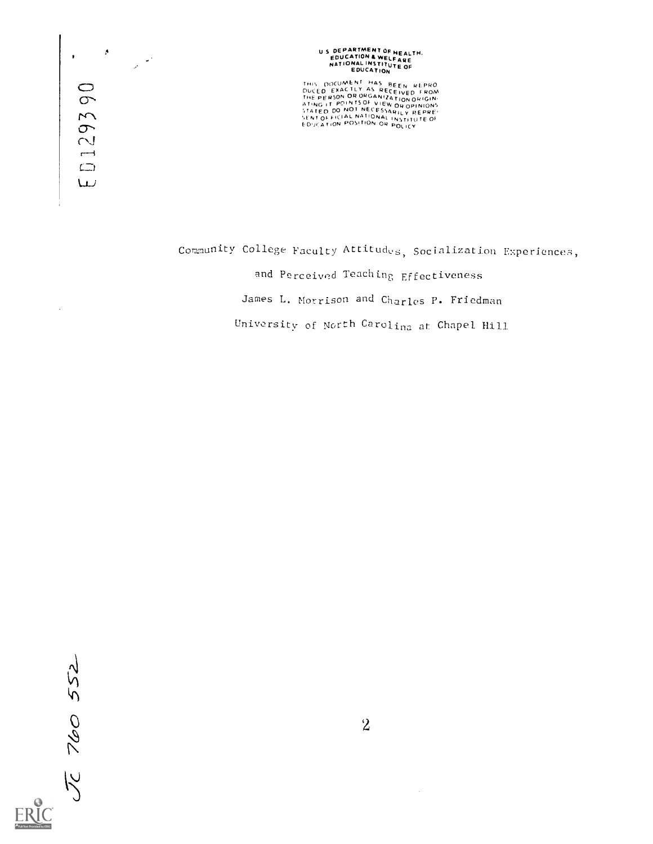$\pmb{\Lambda}$ **290**  $29$  $\overline{ }$  $\Box$  $\cup$ 

 $\ddot{\phantom{a}}$ 

 $\frac{1}{\sqrt{2}}$  ,  $\frac{1}{\sqrt{2}}$ 

# U S DEPARTMENT OF HEALTH.<br>EDUCATION & WELFARE<br>NATIONAL INSTITUTE OF<br>EDUCATION

THIS DOCUMENT HAS BEEN REPRO<br>DUCED EXACTLY AS RECEIVED FROM<br>THE PERSON ORORGANIZATION OUIGIN ENT OF FICIAL NATIONAL INSTITUTE OF<br>DUCATION POSITION OR POLICY

Community College Faculty Attitudes, Socialization Experiences, and Perceived Teaching Effectiveness James L. Morrison and Charles P. Friedman University of North Carolina at Chapel Hill

 $\bar{Jc}$  760 552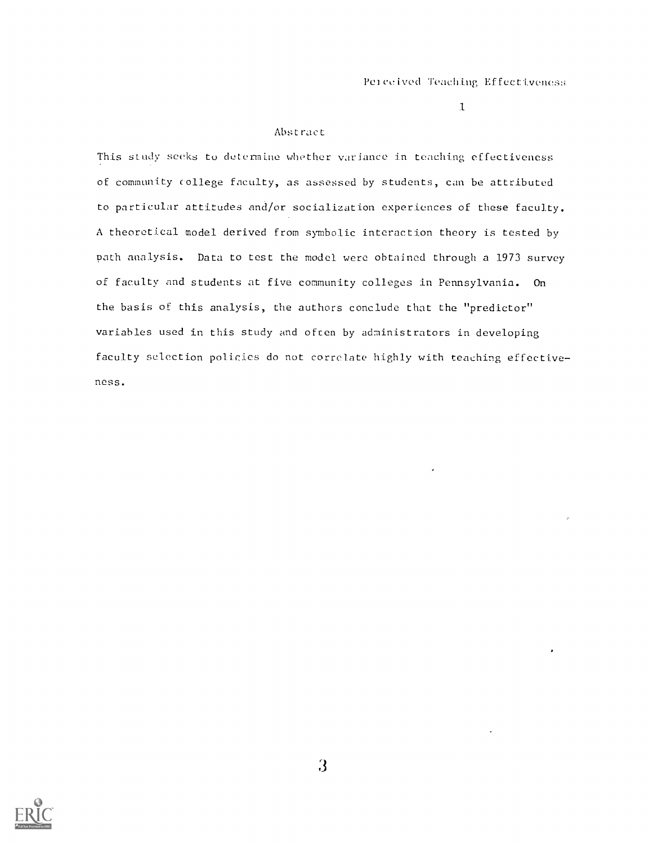#### Abstract

This study seeks to determine whether variance im teaching effectiveness of community college faculty, as assessed by students, can be attributed to particular attitudes and/or socialization experiences of these faculty. A theoretical model derived from symbolic interaction theory is tested by path analysis. Data to test the model were obtained through a 1973 survey of faculty and students at five community colleges in Pennsylvania. On the basis of this analysis, the authors conclude that the "predictor" variables used in this study and often by administrators in developing faculty selection policies do not correlate highly with teaching effective ness.

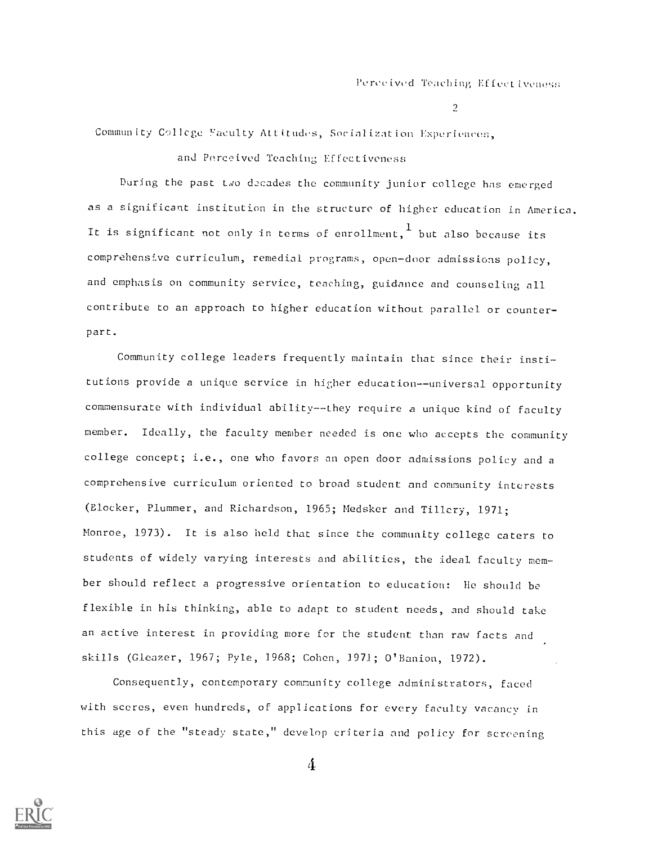Community College Faculty Attitudes, Socialization Experiences,

and Perceived Teaching Effectiveness

During the past two decades the community junior college has emerged as a significant institution in the structure of higher education in America. It is significant not only in terms of enrollment, $^\mathtt{L}$  but also because its comprehensive curriculum, remedial programs, open-door admissions policy, and emphasis on community service, teaching, guidance and counseling all contribute to an approach to higher education without parallel or counterpart.

Community college leaders frequently maintain that since their institutions provide a unique service in higher education--universal opportunity commensurate with individual ability--they require a unique kind of faculty member. Ideally, the faculty member needed is one who accepts the community college concept; i.e., one who favors an open door admissions policy and <sup>a</sup> comprehensive curriculum oriented to broad student and community interests (Blocker, Plummer, and Richardson, 1965; Medsker and Tillery, 1971; Monroe, 1973). It is also held that since the community college caters to students of widely varying interests and abilities, the ideal faculty mem ber should reflect a progressive orientation to education: He should be flexible in his thinking, able to adapt to student needs, and should take an active interest in providing more for the student than raw facts and skills (Gleazer, 1967; Pyle, 1968; Cohen, 1971; O'Banion, 1972).

Consequently, contemporary community college administrators, faced with scores, even hundreds, of applications for every faculty vacancy in this age of the "steady state," develop criteria and policy for screening

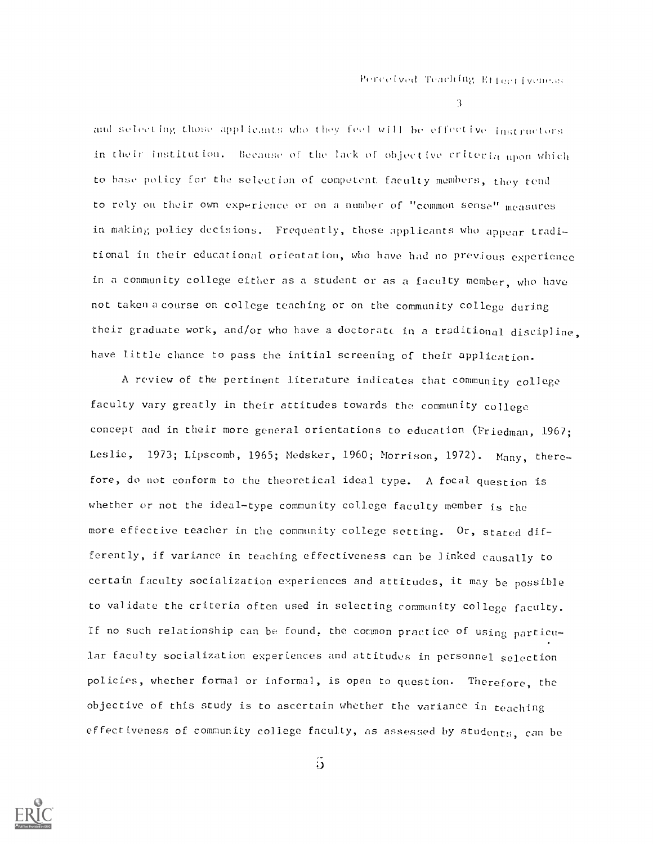3 - Jan 19

and selecting those applicants who they feel will be effective instructors in their institution. Because of the lack of objective criteria upon which to base policy for the selection of competent faculty members, they tend to rely on their own experience or on a number of "common sense" measures in making policy decisions. Frequently, those applicants who appear traditional in their educational orientation, who have had no previous experience in a community college either as a student or as a faculty member, who have not taken a course on college teaching or on the community college during their graduate work, and/or who have a doctorate in a traditional discipline, have little chance to pass the initial screening of their application.

A review of the pertinent literature indicates that community collego faculty vary greatly in their attitudes towards the community college concept and in their more general orientations to education (Friedman, 1967; Leslie, 1973; Lipscomb, 1965; Medsker, 1960; Morrison, 1972). Many, therefore, do not conform to the theoretical ideal type. A focal question is whether or not the ideal-type community college faculty member is the more effective teacher in the community college setting. Or, stated differently, if variance in teaching effectiveness can be linked causally to certain faculty socialization experiences and attitudes, it may be possible to validate the criteria often used in selecting community college faculty. If no such relationship can be found, the common practice of using particular faculty socialization experiences and attitudes in personnel selection policies, whether formal or informal, is open to question. Therefore, the objective of this study is to ascertain whether the variance in teaching effectiveness of community college faculty, as assessed by students, can be



 $\tilde{\mathbf{D}}$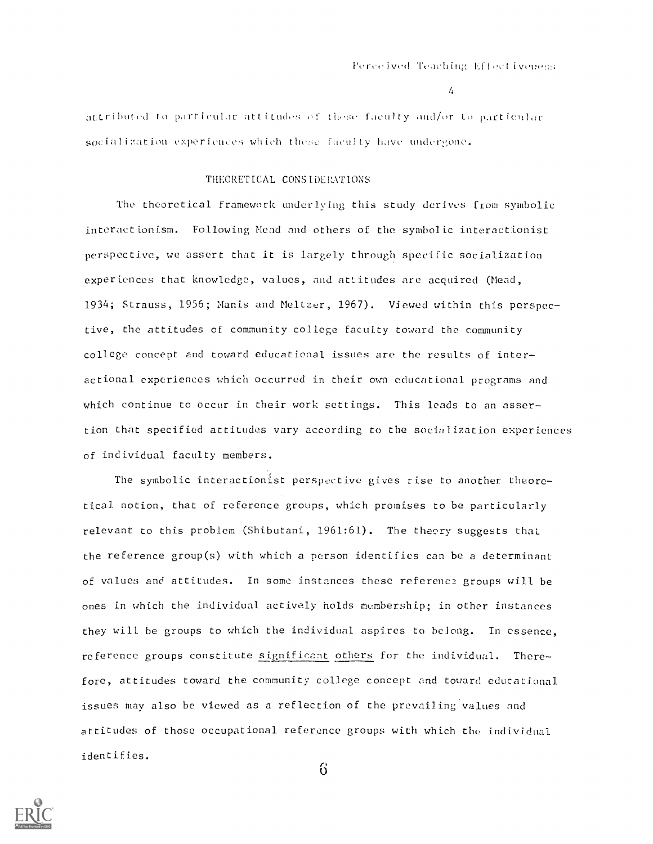attributed to particular attitudes of these faculty and/or to particular socialization experiences which these faculty have undergone.

# THEORETICAL CONSIDERATIONS

The theoretical framework underlying this study derives from symbolic interactionism. Following Mead and others of the symbolic interactionist perspective, we assert that it is largely through specific socialization experiences that knowledge, values, and attitudes are acquired (Mead, 1934; Strauss, 1956; Manis and Meltzer, 1967). Viewed within this perspective, the attitudes of community college faculty toward the community college concept and toward educational issues are the results of interactional experiences which occurred in their own educational programs and which continue to occur in their work settings. This leads to an assertion that specified attitudes vary according to the socialization experiences of individual faculty members.

The symbolic interactionist perspective gives rise to another theoretical notion, that of reference groups, which promises to be particularly relevant to this problem (Shibutani, 1961:61). The theory suggests that\_ the reference greup(s) with which a person identifies can be a determinant of values and attitudes. In some instances these referenca groups will be ones in which the individual actively holds membership; in other instances they will be groups to which the individual aspires to belong. In essence, reference groups constitute significant others for the individual. Therefore, attitudes toward the community college concept and toward educational issues may also be viewed as a reflection of the prevailing values and attitudes of those occupational reference groups with which the individual identifies.



 $6\overline{)}$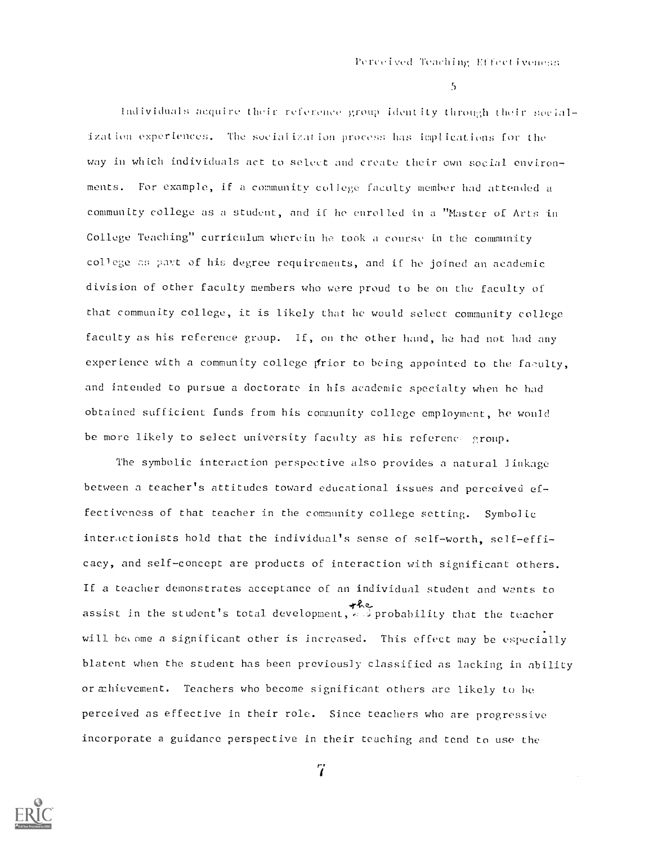individuals acquire their reference group identity through their social ization experiences. The sucialiation process has implications for the way in which individuals act to select and create their own social environments. For example, if a community college faculty member had attended a commun Lty college as a student, and iC he enrolled in a "Master of Arts in College Teaching" curriculum wherein he took a course in the community college as part of his degree requirements, and if he joined an academic division of other faculty members who were proud to be on the faculty of that community college, it is likely that he would select community college faculty as his reference group. lf, on the other hand, he had not had any experience with a community college prior to being appointed to the faculty, and intended to pursue a doctorate in his academic specialty when he had obtained sufficient funds from his comunity college employment, he would be more likely to select university faculty as his reference group.

The symbolic interaction perspective also provides a natural linkage between a teacher's attitudes toward educational issues and perceived effectiveness of that teacher in the community college setting. Symbolic interactionists hold that the individual's sense of self-worth, self-efficacy, and self-concept are products of interaction with significant others. If a teacher demonstrates acceptance of an individual student and wants to assist in the student's total development,, .'.;probability that the teacher will become a significant other is increased. This effect may be especially blatent when the student has been previously classified as lacking in ability or æhievement. Teachers who become significant others are likely to be perceived as effective in their role. Since teachers who are progressive incorporate a guidance perspective in their teaching and tend to use the

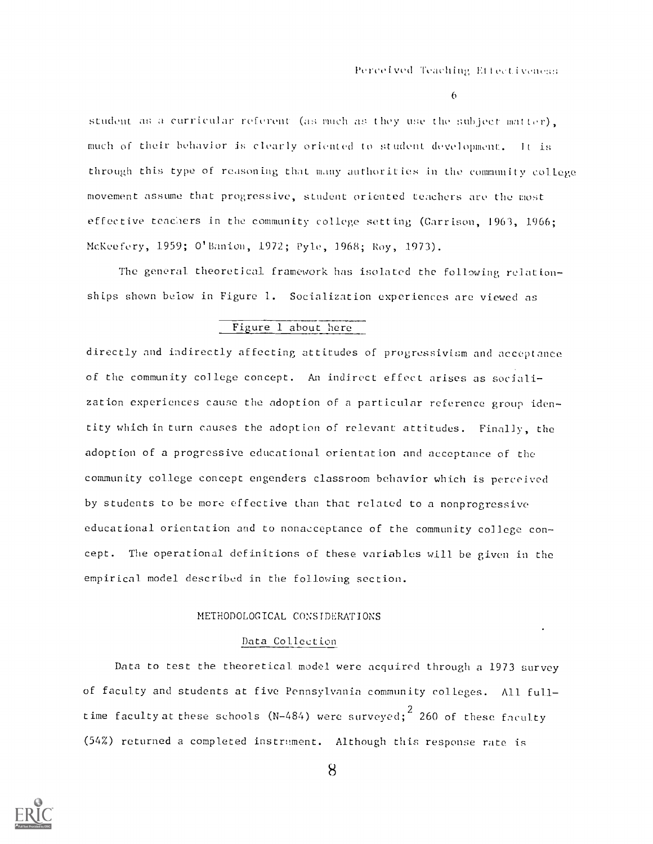$\epsilon$ 

student as a curricular referent (as much as they use the subject matter), much of their behavior is clearly oriented to student development. It is through this type of reasoning that many authorities in the community college movement assume that progressive, student oriented teachers are the most effective teachers in the community college setting (Garrison, 1963, 1966; McKeefery, 1959; O'Banion, 1972; Pyle, 1968; Roy, 1973).

The general theoretical framework has isolated the following relationships shown below in Figure 1. Socialization experiences are viewed as

# Figure 1 about here

directly and indirectly affecting attitudes of progressivism and acceptance of the community college concept. An indirect effect arises as socialization experiences cause the adoption of a particular reference group identity which in turn causes the adoption of relevant attitudes. Finally, the adoption of a progressive educational orientation and acceptance of the community college concept engenders classroom behavior which is perceived by students to be more effective than that related to a nonprogressive educational orientation and to nonacceptance of the community college concept. The operational definitions of these variables will be given in the empirical model described in the following section.

# METHODOLOGICAL CONSIDERATIONS

# Data Collection

Data to test the theoretical model were acquired through a 1973 survey of faculty and students at five Pennsylvania community colleges. All fulltime faculty at these schools (N-484) were surveyed;<sup>2</sup> 260 of these faculty (54%) returned a completed instrument. Although this response rate is

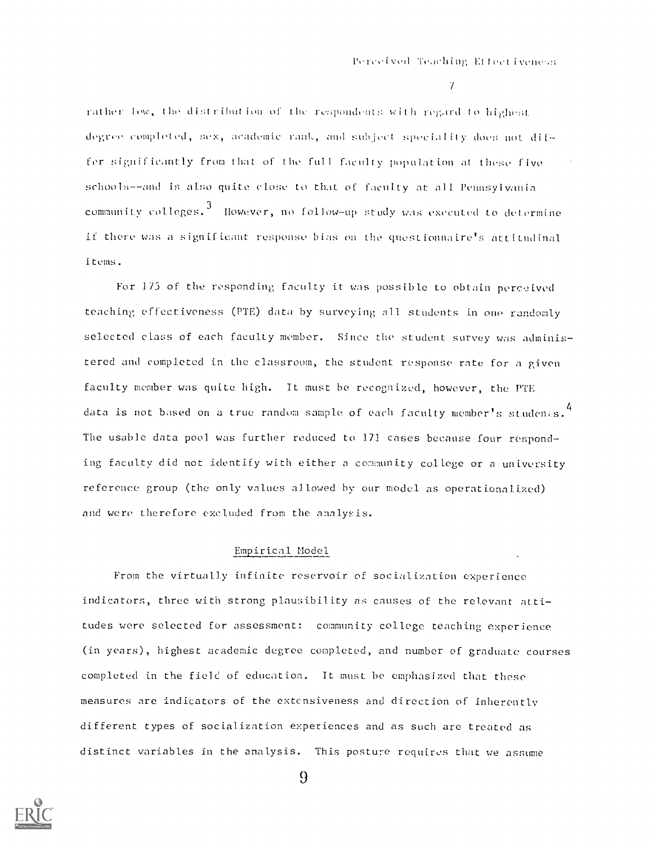$\gamma$ 

rather low, the distribution of the respondents with regard to highest degree completed, sex, academic rank, and subject speciality does not differ significantly from that of the full faculty population at these five schools--and is also quite close to that of faculty at all Pennsylvania community colleges. $^3$  -However, no follow-up study was executed to determine if there was a significant response bias on the questionnaire's attitudinal items.

For 175 of the responding faculty it was possible to obtain perceived teaching effectiveness (PTE) data by surveying all students in one randomly selected class of each faculty member. Since the student survey was administered and completed in the classroom, the student response rate for a given faculty member was quite high. It must be recognized, however, the PTE data is not based on a true random sample of each faculty member's studenis.<sup>4</sup> The usable data pool was further reduced to 171 cases because four responding faculty did not identify with either a community college or a university reference group (the only values allowed by our model as operationalized) and were therefore excluded from the analysis.

# Empirical Model

From the virtually infinite reservoir of socialization experience indicators, three with strong plausibility as causes of the relevant attitudes were selected for assessment: community college teaching experience (in years), highest academic degree completed, and number of graduate courses completed in the field of education. It must be emphasized that these measures are indicators of the extensiveness and direction of inherently different types of socialization experiences and as such are treated as distinct variables in the analysis. This posture requires that we assume

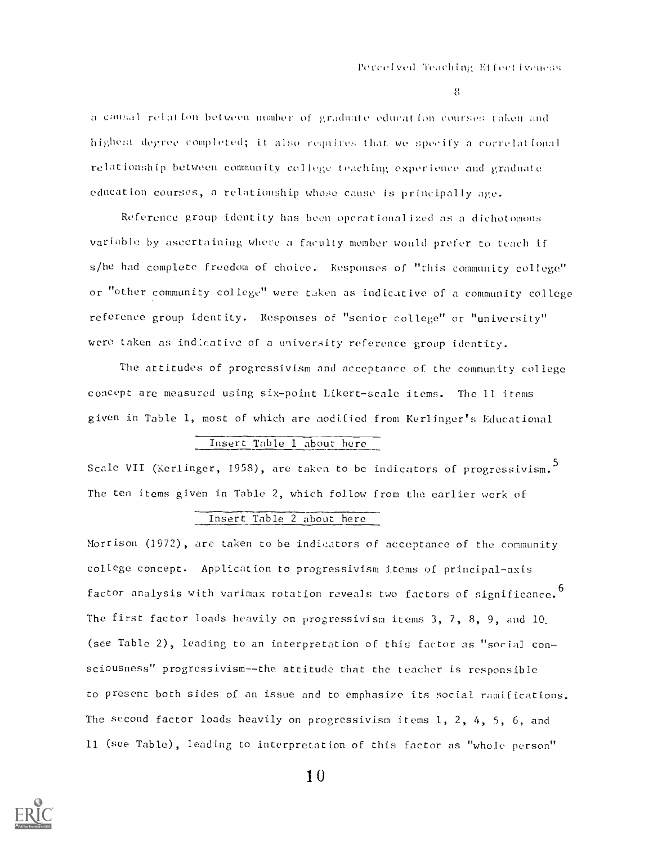a causal relation between number of graduate education courses taken and highest degree completed; it also requires that we specify a correlational relationship between community college teaching experience and graduate education courses, a relationship whose cause is principally age.

Reference group identity has been operationalized as a dichotomous variable by ascertaining where a faculty member would prefer to teach if s/he had complete freedom of choice. Responses of "this community college" or "other community college" were taken as indicative of a community college reference group identity. Responses of "senior college" or "university" were taken as indicative of a university reference group identity.

The attitudes of progressivism nnd acceptance of the community college concept are measured using six-point Likert-seale items. The 11 items given in Table 1, most of which are modified from Kerlinger's Educational

# Insert Table 1 about here

Scale VII (Kerlinger, 1958), are taken to be indicators of progressivism.<sup>5</sup> The ten items given in Table 2, which follow from the earlier work of

# Insert Table 2 about here

Morrison (1972) , are taken to be indicators of acceptance of the community college concept. Application to progressivism items of principal-axis factor analysis with varimax rotation reveals two factors of significance.  $^6$ The first factor loads heavily on progressivism items 3, 7, 8, 9, and 10. (see Table 2), leading to an interpretation of this factor as "social consciousness" progressivism--the attitude that the teacher is responsible to present both sides of an issue and to emphasize its social ramifications. The second factor loads heavily on progressivism items 1, 2, 4, 5, 6, and 11 (see Table), leading to interpretation of this factor as "whole person"

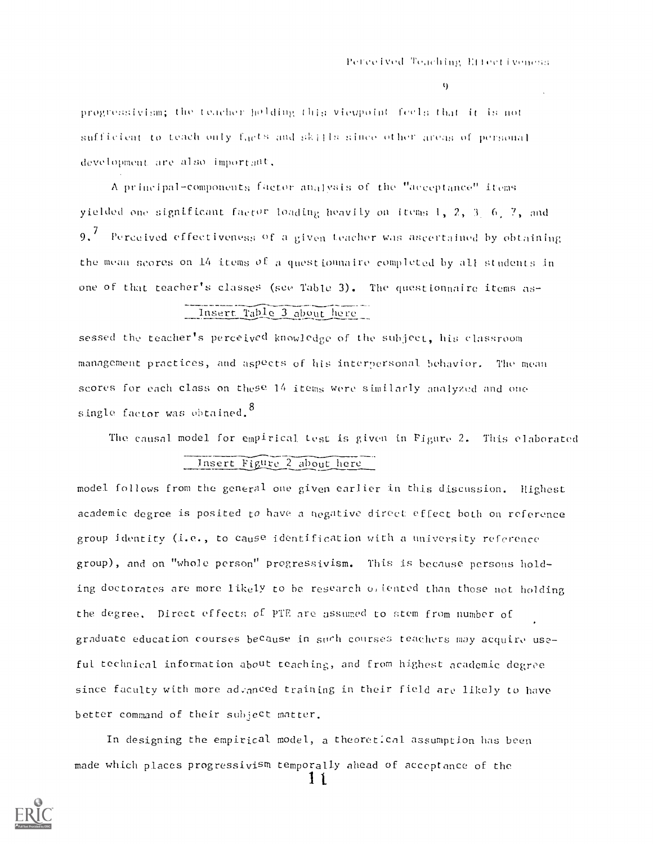$\mathbf{Q}$ 

progressivism; the teacher holding this viewpoint feels that it is not  $\texttt{sufficient}$  to teach only f $\texttt{qcts}$  and  $\texttt{skills}$  since other areas of personal  $\blacksquare$ development are also important.

A principal-components factor analysis of the "aeceptance" items yielded one significant factor loading heavily on items  $1, 2, 3, 6, 7,$  and  $9. \; '$  - Perceived effectiveness of a given teacher was ascertained by obtaining the mean secres on 14 items of a questionnaire completed by all students in one of that teacher's classes (see Table 3). The questionnaire items as-

# Insert Table 3 about here

sessed the teacher's perceived knowledge of the subject, his classroom management practices, and aspects of his interpersonal behavior. The mean scores for each class on these 14 items were similarly analyzed and one single factor was obtained.<sup>8</sup>

The causal model for empirical test is given in Figure 2. This elaborated

# Jnsert Figure 2 about here

model follows from the general one given earlier in this discussion. Highest academic degree is posited to have a negative direct effect both on reference group identity (i.e., to cause identification with a university reference group), and on "whole person" progressivism. This is because persons holding doctorates are more likely to be research offented than those not holding the degree. Direct effects of PTE are assumed to stem from number of graduate education courses because in such courses teachers may acquire useful technical information about teaching, and from highest academic degree since faculty with more advanced training in their field are likely to have better command of their subiect matter.

In designing the empirical model, a theoretical assumption has been made which places progressivism temporally ahead of acceptance of the

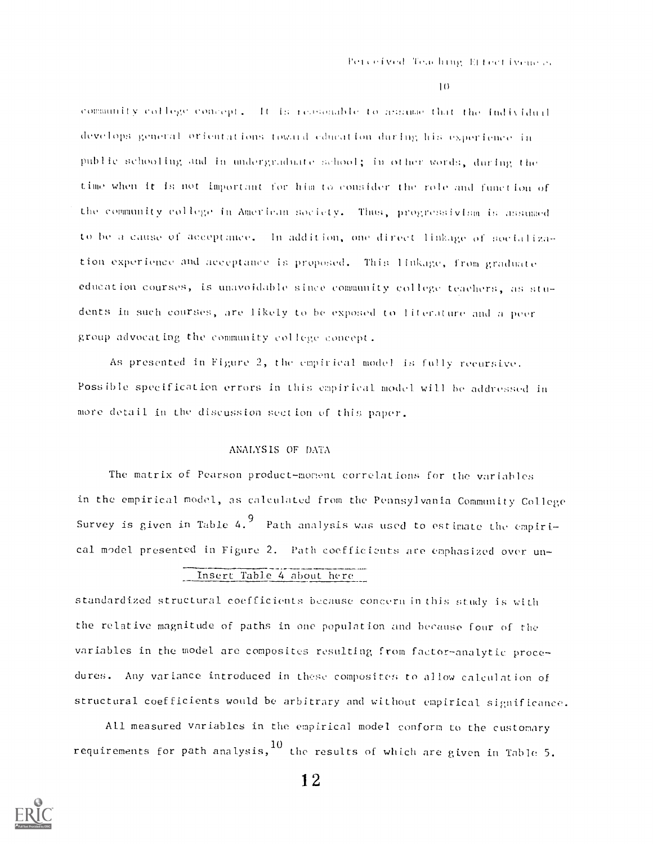community college concept. It is researable to assume that the Individual  $\mathbb{R}^2$ develops general orientations toward education during his experience in public schooling and in undergraduate :.chool; in othcr words, during the time when it is not important tor him to consider the role and function of the community college in American society. Thus, progressivism is assumed to be a cause of acceptance. In addition, one direct linkage of socialization experience and acceptance is proposed. This linkdge, from graduate education courses, is unavoidable since community college teachers, as students in such courses, are likely to he exposed to literature and a peer group advocating the community college concept.

As presented in Figure 2, the empirical model is fully recursive. Possible specification errors in this empirical model will be addressed in more detail. in the discussion section of this paper.

# ANALYSIS OF DATA

The matrix of Pearson product-moment correlations for the variables in the empirical model, as calculated from the Pennsylvania Community College Survey is given in Table 4.<sup>9</sup> Path analysis was used to estimate the empirical model presented in Figure 2. Path coefficients are emphasized over un-

# Insert Table 4 about here

standardized structural coefficients because concern inthis study is with the relative magnitude of paths in one population and because four of rhe variables in the model are composites resulting from factor-analytic procedures. Any variance introduced in these composites to allow calculation of structural coefficients would be arbitrary and without empirical significance.

All measured variables in the empirical model conform to the customary requirements for path analysis, $^{10}$  the results of which are given in Table 5.

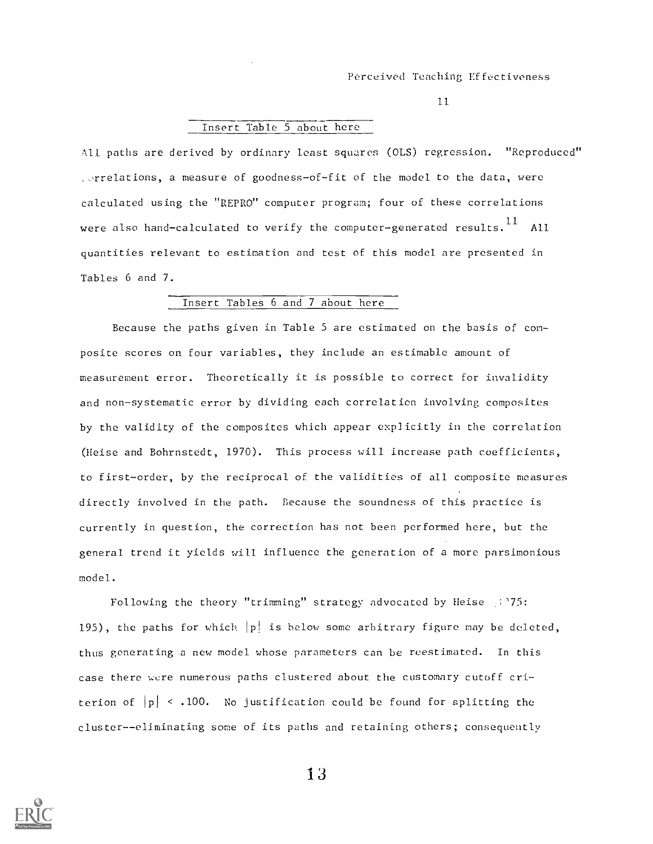## Insert Table 5 about here

All paths are derived by ordinary least squares (OLS) regression. "Reproduced" rrelations, a measure of goodness-of-fit of the model to the data, were calculated using the "REPRO" computer program; four of these correlations were also hand—calculated to verify the computer—generated results. $^{11}\,$  All quantities relevant to estimation and test of this model are presented in Tables 6 and 7.

# Insert Tables 6 and 7 about here

Because the paths given in Table 5 are estimated on the basis of composite scores on four variables, they include an estimable amount of measurement error. Theoretically it is possible to correct for invalidity and non-systematic error by dividing each correlation involving composites by the validity of the composites which appear explicitly in the correlation (Heise and Bohrnstedt, 1970). This process will increase path coefficients, to first-order, by the reciprocal of the validities of all composite measures directly involved in the path. Because the soundness of this practice is currently in question, the correction has not been performed here, but the general trend it yields will influence the generation of a more parsimonious model.

Following the theory "trimming" strategy advocated by Heise (275: 195), the paths for which  $|p|$  is below some arbitrary figure may be deleted, thus generating a new model whose parameters can be reestimated. In this case there were numerous paths clustered about the customary cutoff criterion of  $|p| < 0.100$ . No justification could be found for splitting the cluster--eliminating some of its paths and retaining others; consequently

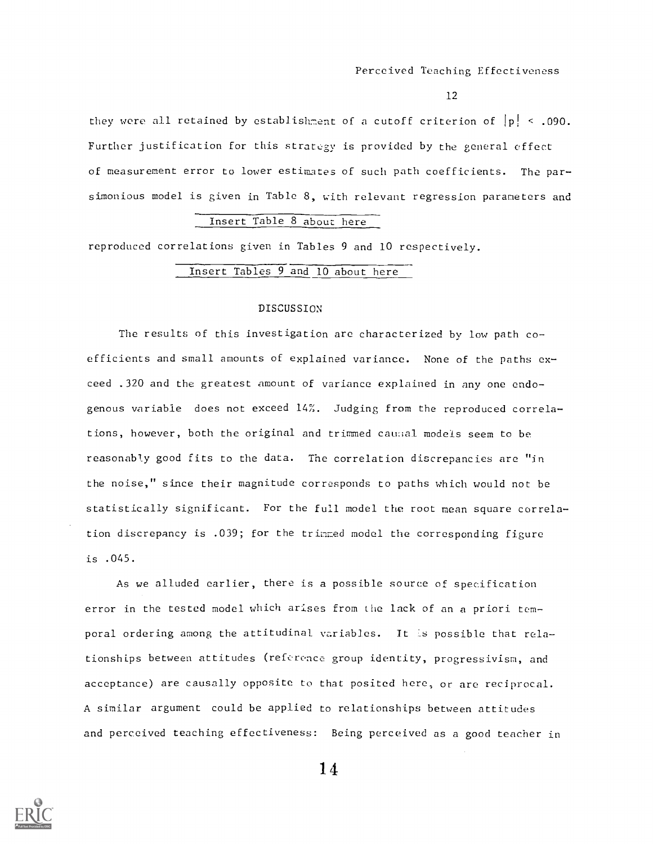they were all retained by establishment of a cutoff criterion of  $|p| < .090$ . Further justification for this strategy is provided by the general effect of measurement error to lower estimates of such path coefficients. The parsimonious model is given in Table 8, with relevant regression parameters and

#### Insert Table 8 about here

reproduced correlations given in Tables 9 and 10 respectively.

# Insert Tables 9 and 10 about here

#### DISCUSSION

The results of this investigation are characterized by low path coefficients and small amounts of explained variance. None of the paths exceed .320 and the greatest amount of variance explained in any one endogenous variable does not exceed 14%. Judging from the reproduced correlations, however, both the original and trimmed causal models seem to be reasonably good fits to the data. The correlation discrepancies are "in the noise," since their magnitude corresponds to paths which would not be statistically significant. For the full model the root mean square correlation discrepancy is .039; for the trimmed model the corresponding figure is .045.

As we alluded earlier, there is a possible source of specification error in the tested model which arises from the lack of an a priori temporal ordering among the attitudinal variables. It is possible that relationships between attitudes (reference group identity, progressivism, and acceptance) are causally opposite to that posited here, or are reciprocal. A similar argument could be applied to relationships between attitudes and perceived teaching effectiveness: Being perceived as a good teacher in

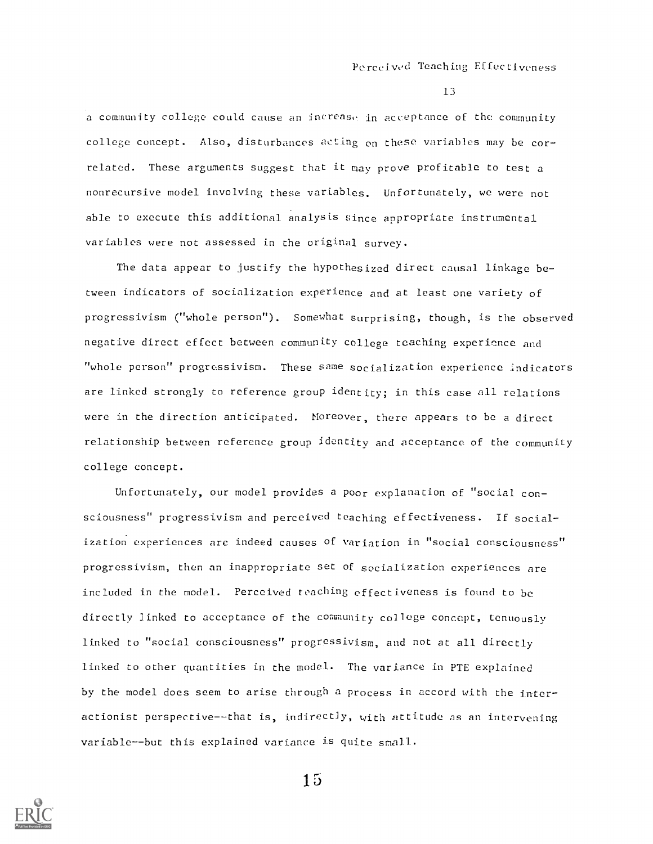a community college could cause an increase in acceptance of the community college concept. Also, disturbances acting on these variables may be correlated. These arguments suggest that it may prove profitable to test a nonrecursive model involving these variables. Unfortunately, we were not able to execute this additional analysis since appropriate instrumental variables were not assessed in the original survey.

The data appear to justify the hypothesized direct causal linkage between indicators of socialization experience and at least one variety of progressivism ("whole person"). Somewhat surprising, though, is the observed negative direct effect between community college teaching experience and "whole person" progressivism. These same socialization experience indicators are linked strongly to reference group identity; in this case all relations were in the direction anticipated. Moreover, there appears to be a direct relationship between reference group identity and acceptance of the community college concept.

Unfortunately, our model provides a poor explanation of "social consciousness" progressivism and perceived teaching effectiveness. If socialization experiences are indeed causes ef variation in "social consciousness" progressivism, then an inappropriate set of socialization experiences are included in the model. Perceived teaching effectiveness is found to be directly linked to acceptance of the community college concept, tenuously linked to "social consciousness" progressivism, and not at all directly linked to other quantities in the model. The variance in PTE explained by the model does seem to arise through a process in accord with the interactionist perspective--that is, indirectly, with attitude as an intervening variable--but this explained variance is quite small.

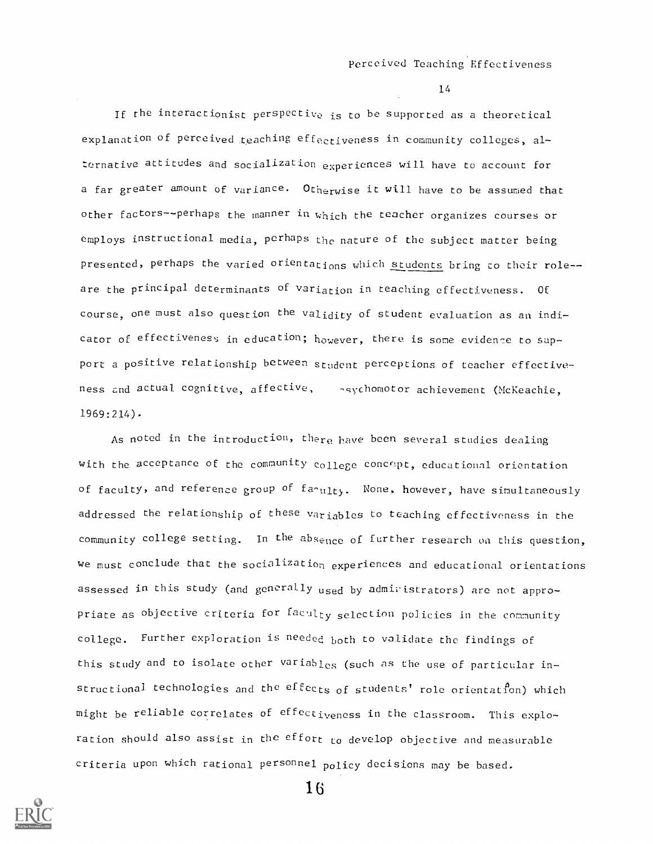If the interactionist perspective is to be supported as a theoretical explanation of perceived teaching effectiveness in community colleges, alternative attitudes and socialization experiences will have to account for a far greater amount of variance. Otherwise it will have to be assumed that other factors--perhaps the manner in which the teacher organizes courses or employs instructional media, perhaps the nature of the subject matter being presented, perhaps the varied orientations which students bring co their role-are the principal determinants of variation in teaching effectiveness. Of course, one must also question the validity of student evaluation as an indicator of effectiveness in education; however, there is some evidence to support a positive relationship between student perceptions of teacher effectiveness and actual cognitive, affective, sychomotor achievement (McKeachie, 1969:214)-

As noted in the introduction, there have been several studies dealing with the acceptance of the community college concept, educational orientation  $\;$ with the acceptance of the community college concept, educational orientation<br>of faculty, and reference group of fa<sub>nulty.</sub> None, however, have simultaneously addressed the relationship of these variables to teaching effectiveness in the community college setting. In the absence of further research on this question, we must conclude that the socialization experiences and educational orientations assessed in this study (and generally used by administrators) are not appropriate as objective criteria for faculty selection policies in the community college. Further exploration is needed both to validate the findings of this study and to isolate other variables (such as the use of particular instructional technologies and the effects of students' role orientation) which might be reliable correlates of effectiveness in the classroom. This exploration should also assist in the effort to develop objective and measurable criteria upon which rational personnel policy decisions may be based.

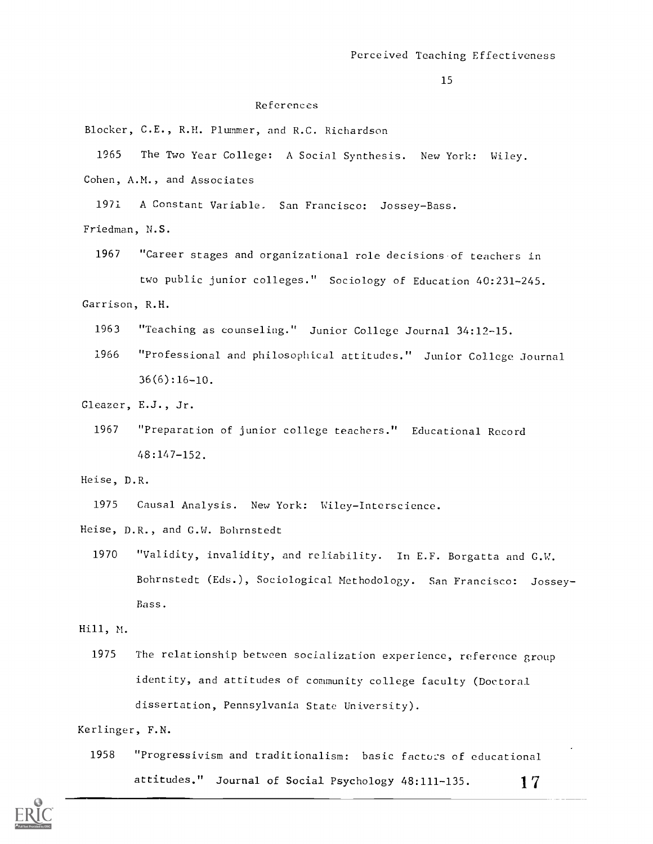# References

Blocker, C.E., R.H. Plummer, and R.C. Richardson

1965 The Two Year College: A Social Synthesis. New York: Wiley.

Cohen, A.M., and Associates

1971 A Constant Variable. San Francisco: Jossey-Bass.

- Friedman, N.S.
	- 1967 "Career stages and organizational role decisions of teachers in two public junior colleges." Sociology of Education 40:231-245.

Garrison, R.H.

- 1963 "Teaching as counseling." Junior College Journal 34:12-15.
- 1966 "Professional and philosophical attitudes." Junior College Journal  $36(6)$ :16-10.

Gleazer, E.J., Jr.

- 1967 "Preparation of junior college teachers." Educational Record 48:147-152.
- Heise, D.R.

1975 Causal Analysis. New York: Wiley-Interscience.

Heise, D.R., and G.W. Bohrnstedt

1970 "Validity, invalidity, and reliability. In E.F. Borgatta and G.W. Bohrnstedt (Eds.), Sociological Methodology. San Francisco: Jossey Bass.

# Hill, M.

1975 The relationship between socialization experience, reference group identity, and attitudes of community college faculty (Doctoral dissertation, Pennsylvania State University).

# Kerlinger, F.N.

1958 "Progressivism and traditionalism: basic factors of educational attitudes." Journal of Social Psychology  $48:111-135$ . 17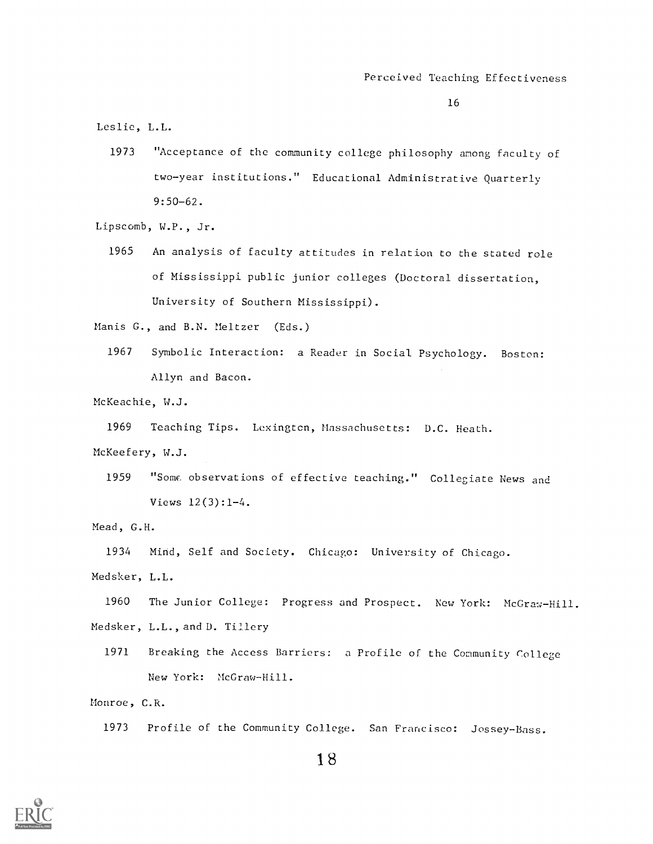Leslie, L.L.

1973 "Acceptance of the community college philosophy among faculty of two-year institutions." Educational Administrative Quarterly 9:50-62.

Lipscomb, W.P., Jr.

1965 An analysis of faculty attitudes in relation to the stated role of Mississippi public junior colleges (Doctoral dissertation, University of Southern Mississippi).

Manis G., and B.N. Meltzer (Eds.)

1967 Symbolic Interaction: a Reader in Social Psychology. Boston: Allyn and Bacon.

McKeachie, W.J.

1969 Teaching Tips. Lexingtcn, Massachusetts: D.C. Heath. McKeefery, W.J.

1959 "Some observations of effective teaching." Collegiate News and Views 12(3):1-4.

Mead, G.H.

1934 Mind, Self and Society. Chicago: University of Chicago. Medsker, L.L.

1960 The Junior College: Progress and Prospect. New York: McGraw-Hill. Medsker, L.L.,and D. Tillery

1971 Breaking the Access Barriers: a Profile of the Community College New York: McGraw-Hill.

Monroe, C.R.

1973 Profile of the Community College. San Francisco: Jossey-Bass.

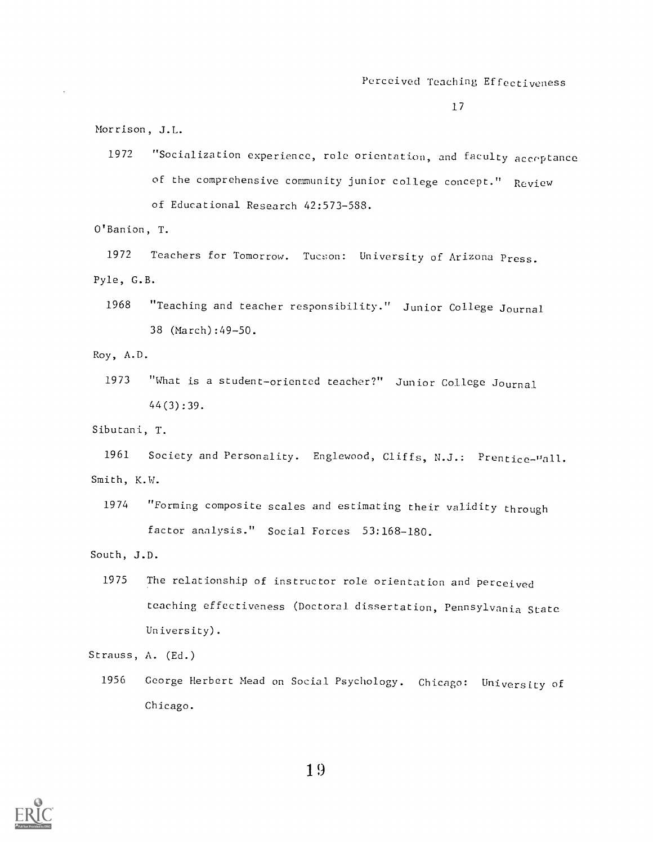Morrison, J.L.

1972 "Socialization experience, role orientation, and faculty acceptance of the comprehensive community junior college concept." Review of Educational Research 42:573-588.

O'Banion, T.

1972 Teachers for Tomorrow. Tucson: University of Arizona Press. Pyle, G.B.

1968 "Teaching and teacher responsibility." Junior College Journal 38 (March) :49-50.

Roy, A.D.

1973 "What is a student-oriented teacher?" Junior College Journal 44(3) :39.

Sibutani, T.

1961 Society and Personality. Englewood, Cliffs, N.J.: Prentice-"all. Smith, K.W.

1974 "Forming composite scales and estimating their validity through factor analysis." Social Forces 53:168-180.

South, J.D.

1975 The relationship of instructor role orientation and perceived teaching effectiveness (Doctoral dissertation, Pennsylvania state University).

Strauss, A. (Ed.)

1956 George Herbert Mead on Social Psychology. Chicago: University of Chicago.

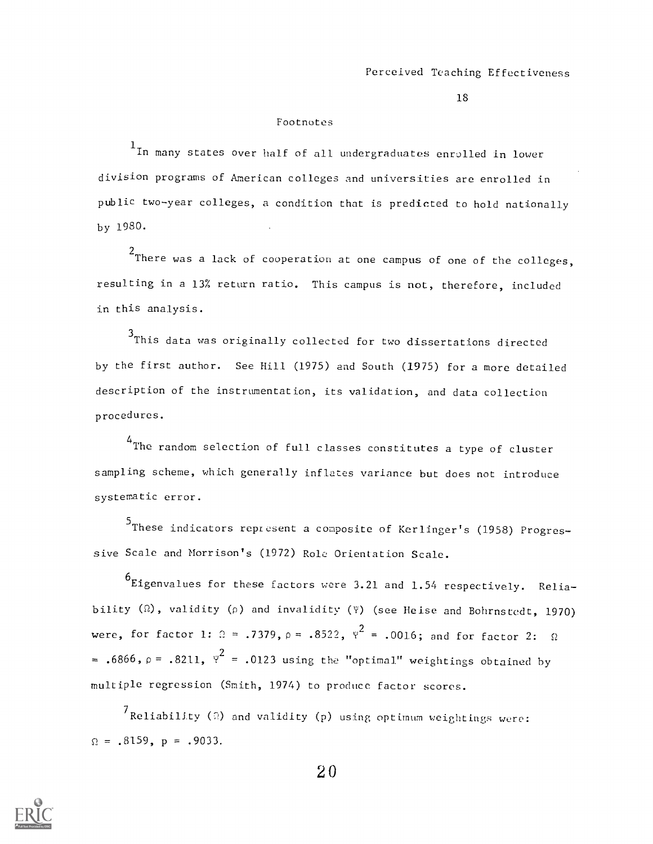#### Footnotes

<sup>1</sup> In many states over half of all undergraduates enrolled in lower division programs of American colleges and universities are enrolled in public two-year colleges, a condition that is predicted to hold nationally by 1980.

 $2$ There was a lack of cooperation at one campus of one of the colleges, resulting in a 13% return ratio. This campus is not, therefore, included in this analysis.

3This data was originally collected for two dissertations directed by the first author. See Hill (1975) and South (1975) for a more detailed description of the instrumentation, its validation, and data collection procedures.

<sup>4</sup>The random selection of full classes constitutes a type of cluster sampling scheme, which generally inflates variance but does not introduce systematic error.

5 These indicators represent a composite of Kerlinger's (1958) Progres sive Scale and Morrison's (1972) Role Orientation Scale.

 $^{\sf 6}$ Eigenvalues for these factors were 3.21 and  $1.54$  respectively. Reliability  $(\Omega)$ , validity  $(\rho)$  and invalidity ( $\Psi$ ) (see Heise and Bohrnstedt, 1970) were, for factor 1:  $\Omega = .7379$ ,  $\rho = .8522$ ,  $\gamma^2 = .0016$ ; and for factor 2:  $\Omega$ = .6866,  $\rho$  = .8211,  $\psi^2$  = .0123 using the "optimal" weightings obtained by multiple regression (Smith, 1974) to produce factor scores.

 $7$ Reliability (2) and validity (p) using optimum weightings were:  $\Omega = .8159$ ,  $p = .9033$ .

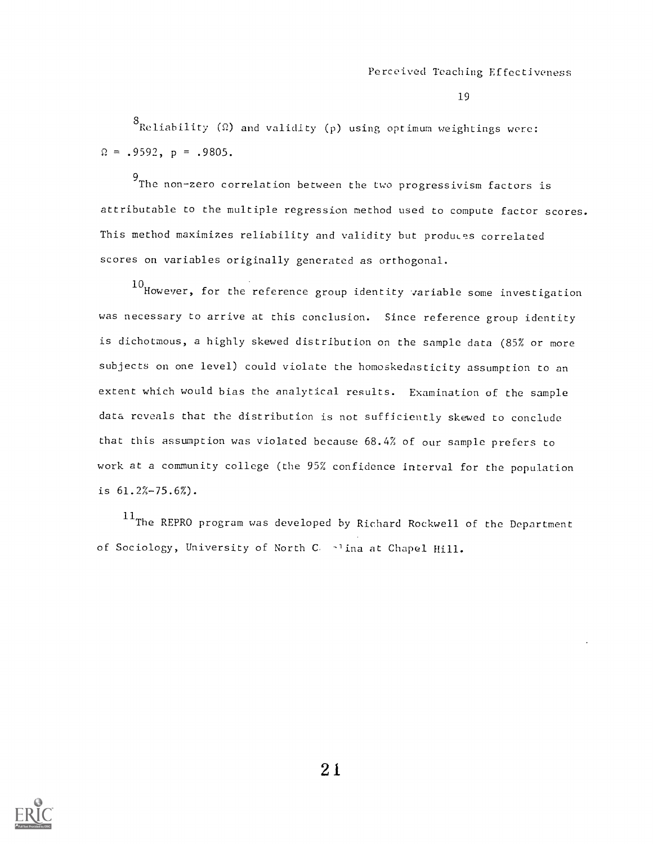$^8$ Reliability (Ω) and validity (p) using optimum weightings were:  $\Omega = .9592$ ,  $p = .9805$ .

9 The non-zero correlation between the two progressivism factors is attributable to the multiple regression method used to compute factor scores. This method maximizes reliability and validity but produces correlated scores on variables originally generated as orthogonal.

10 However, for the reference group identity variable some investigation was necessary to arrive at this conclusion. Since reference group identity is dichotmous, a highly skewed distribution on the sample data (85% or more subjects on one level) could violate the homoskedasticity assumption to an extent which would bias the analytical results. Examination of the sample data reveals that the distribution is not sufficiently skewed to conclude that this assumption was violated because 68.4% of our sample prefers to work at a community college (the 95% confidence interval for the population is 61.2%-75.6%).

 $^{11}$ The REPRO program was developed by Richard Rockwell of the Department of Sociology, University of North C, alina at Chapel Hill.

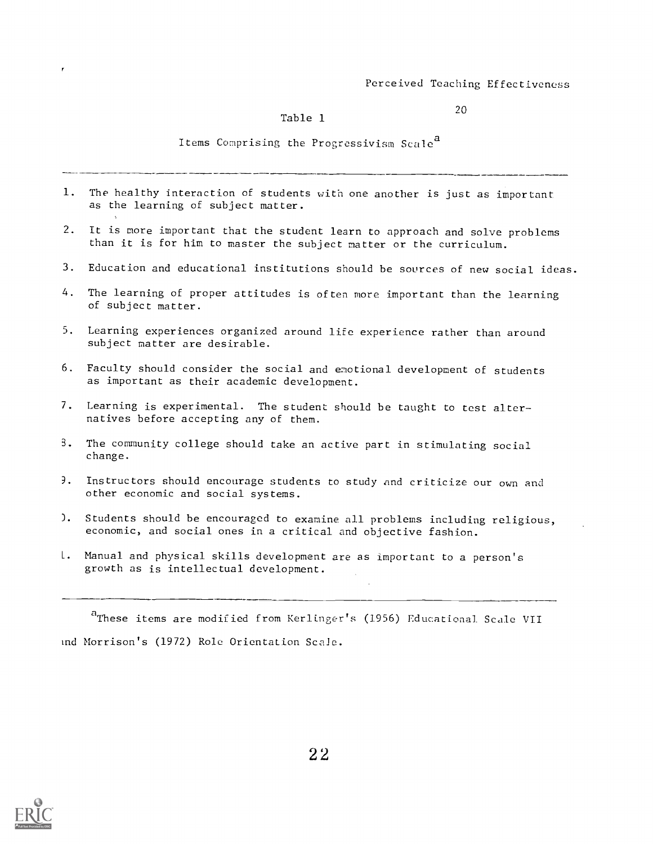20

## Table 1

Items Comprising the Progressivism Scale<sup>a</sup>

- 1. The healthy interaction of students with one another is just as important as the learning of subject matter.
- 2. It is more important that the student learn to approach and solve problems than it is for him to master the subject matter or the curriculum.
- 3. Education and educational institutions should be sources of new social ideas.
- 4. The learning of proper attitudes is often more important than the learning of subject matter.
- 5. Learning experiences organized around life experience rather than around subject matter are desirable.
- 6. Faculty should consider the social and emotional development of students as important as their academic development.
- 7. Learning is experimental. The student should be taught to test alternatives before accepting any of them.
- B. The community college should take an active part in stimulating social change.
- ?. Instructors should encourage students to study and criticize our own and other economic and social systems.
- ). Students should be encouraged to examine all problems including religious, economic, and social ones in a critical and objective fashion.
- L. Manual and physical skills development are as important to a person's growth as is intellectual development.

<sup>4</sup>These items are modified from Kerlinger's (1956) Educational Scale VII Ind Morrison's (1972) Role Orientation Scale.

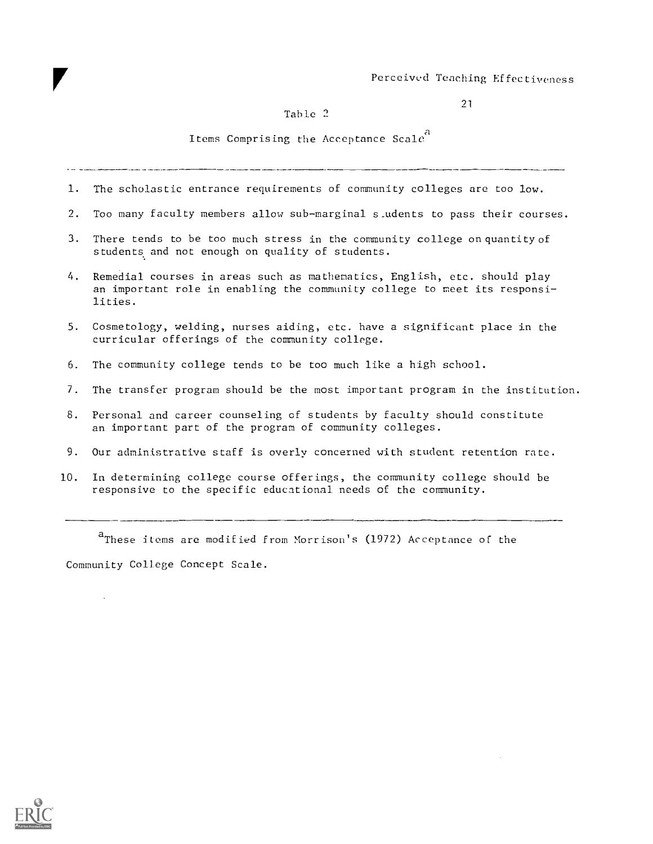# Table 2

Items Comprising the Acceptance Scale<sup>4</sup>

- 1. The scholastic entrance requirements of community colleges are too low.
- 2. Too many faculty members allow sub-marginal s\_udents to pass their courses.
- 3. There tends to be too much stress in the community college on quantity of students and not enough on quality of students.
- 4. Remedial courses in areas such as mathematics, English, etc. should play an important role in enabling the community college to meet its responsilities.
- 5. Cosmetology, welding, nurses aiding, etc. have a significant place in the curricular offerings of the community college.
- 6. The community college tends to be too much like a high school.
- 7. The transfer program should be the most important program in the institution.
- 8. Personal and career counseling of students by faculty should constitute an important part of the program of community colleges.
- 9. Our administrative staff is overly concerned with student retention rate.
- 10. In determining college course offerings, the community college should be responsive to the specific educational needs of the community.

<sup>a</sup>These items are modified from Morrison's (1972) Acceptance of the Community College Concept Scale.



 $\ddot{\phantom{a}}$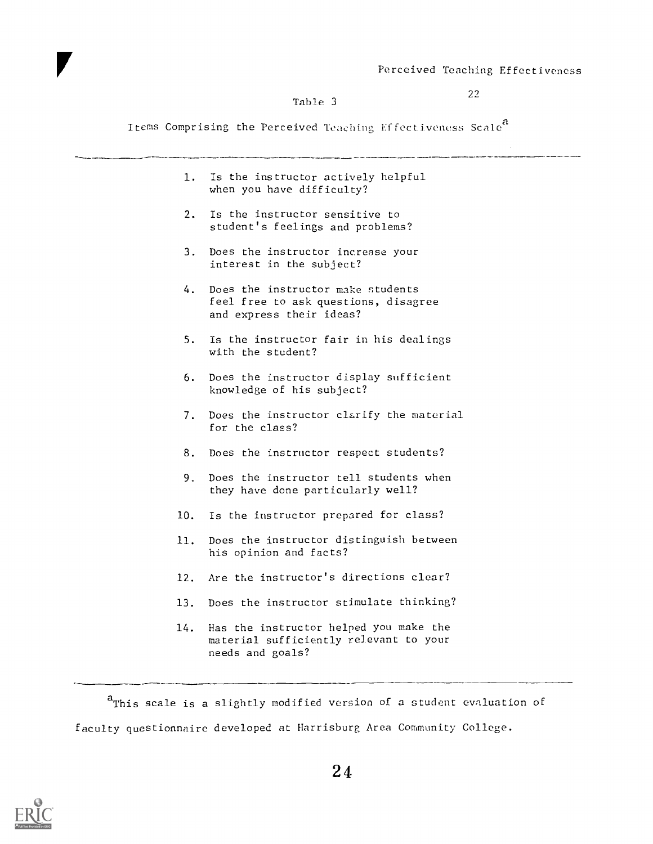#### Table 3

 $22$ 

Items Comprising the Perceived Teaching Effectiveness Scale<sup>a</sup>

1. Is the instructor actively helpful when you have difficulty? 2. Is the instructor sensitive to student's feelings and problems? 3. Does the instructor increase your interest in the subject? 4. Does the instructor make students feel free to ask questions, disagree and express their ideas? 5. Is the instructor fair in his dealings with the student? 6. Does the instructor display sufficient knowledge of his subject? 7. Does the instructor clarify the material for the class? 8. Does the instructor respect students? 9. Does the instructor tell students when they have done particularly well? 10. Is the instructor prepared for class? 11. Does the instructor distinguish between his opinion and facts? 12. Are the instructor's directions clear? 13. Does the instructor stimulate thinking? 14. Has the instructor helped you make the material sufficiently relevant to your needs and goals?

 $a$ <sup>a</sup> This scale is a slightly modified version of a student evaluation of faculty questionnaire developed at Harrisburg Area Community College.

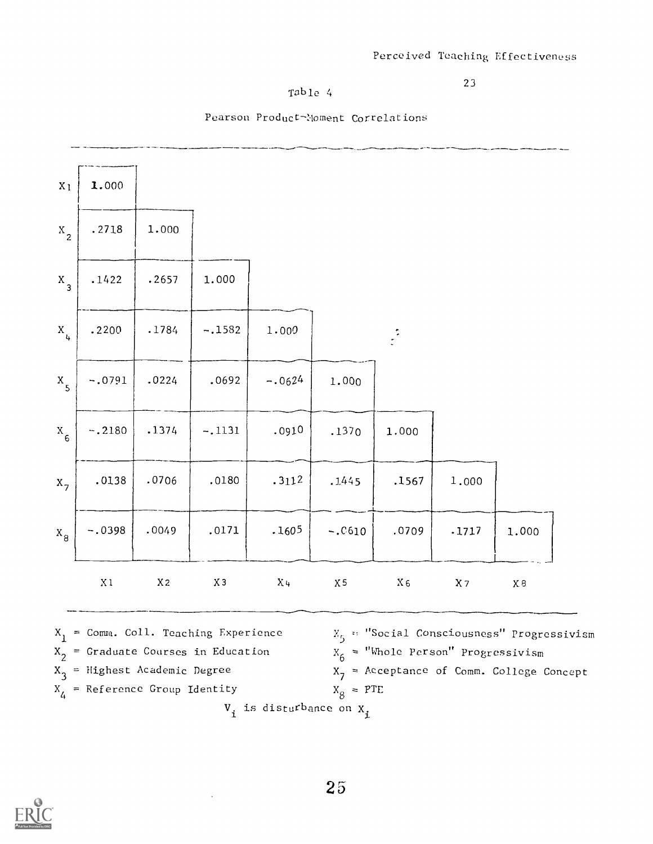# Table 4

# Pearson Product-Noment Correlations

| X <sub>1</sub>   | 1.000    |                |          |          |           |                |          |       |
|------------------|----------|----------------|----------|----------|-----------|----------------|----------|-------|
| $X_{2}$          | .2718    | 1.000          |          |          |           |                |          |       |
| $X_{3}$          | .1422    | .2657          | 1.000    |          |           |                |          |       |
| $X_{\mu}$        | .2200    | .1784          | $-.1582$ | 1.000    |           | $\ddot{\cdot}$ |          |       |
| $X$ <sub>5</sub> | $-.0791$ | .0224          | .0692    | $-.0624$ | 1.000     |                |          |       |
| $X$ <sub>6</sub> | $-.2180$ | .1374          | $-.1131$ | .0910    | .1370     | 1.000          |          |       |
| $X_7$            | .0138    | .0706          | .0180    | .3112    | .1445     | .1567          | 1.000    |       |
| $X_{8}$          | $-.0398$ | .0049          | .0171    | .1605    | $-.0610$  | .0709          | .1717    | 1.000 |
|                  | $\ge 1$  | X <sub>2</sub> | $X_3$    | $X\cup$  | $\rm X$ 5 | $\rm X$ 6      | $\chi$ 7 | X8    |

- $X_2$  = Graduate Courses in Education
- 
- $x_3$  = Highest Academic Degree  $x_7$  = Acce

 $\ddot{\phantom{a}}$ 

 $x_4$  = Reference Group Identity  $x_8$  = PTE

 $_2$  = Graduate Courses in Education  $X_{6}$  = "Whole Person" Progressivism  $X_7$  = Acceptance of Comm. College Concept  $8 = PTE$ 

 $V_i$  is disturbance on  $X_i$ 

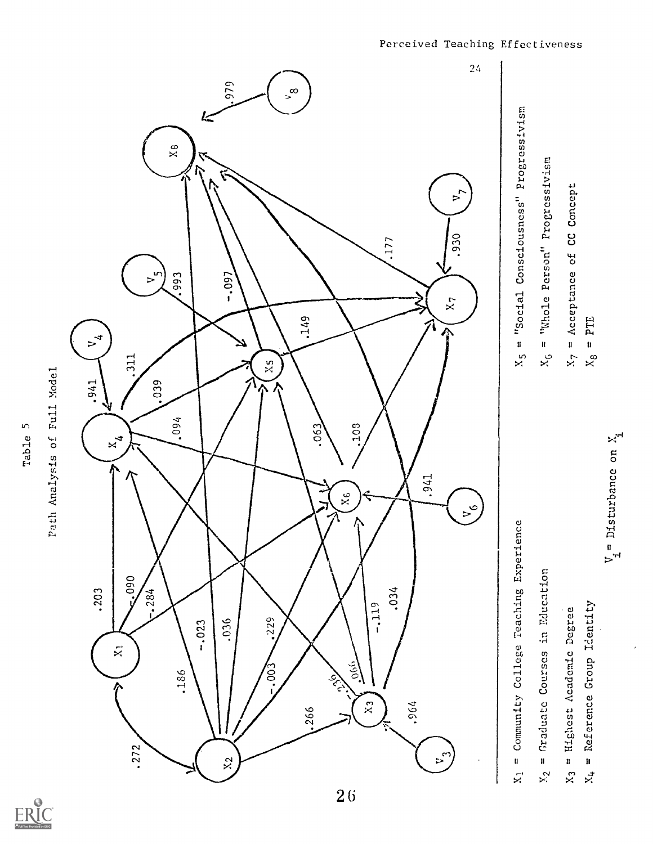

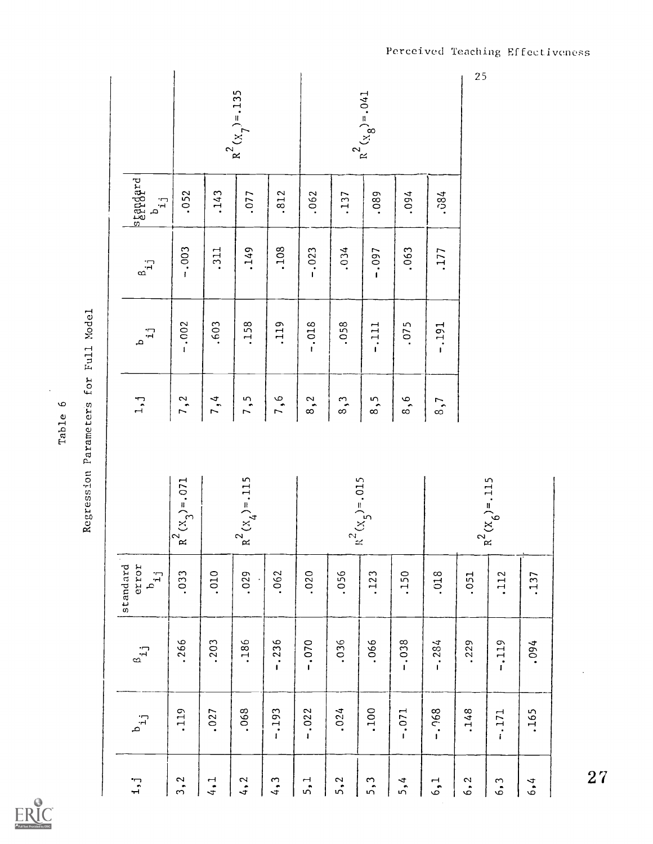|                                                |                   |      |                       |          |          |               |                       |          |          | 25   |                   |      |                  |
|------------------------------------------------|-------------------|------|-----------------------|----------|----------|---------------|-----------------------|----------|----------|------|-------------------|------|------------------|
|                                                |                   |      | $R^{2}(x_{7}) = .135$ |          |          |               | $R^{2}(x_{8}) = .041$ |          |          |      |                   |      |                  |
| stangard<br>$\dot{L}_{\rm q}$                  | .052              | .143 | .077                  | .812     | .062     | .137          | .089                  | .094     | .084     |      |                   |      |                  |
| $\beta_{i,j}$                                  | $-.003$           | .311 | .149                  | .108     | $-.023$  | .034          | $-0.097$              | .063     | .177     |      |                   |      |                  |
| tr.<br>a                                       | $-.002$           | .603 | .158                  | .119     | $-0.018$ | .058          | $-1111$               | .075     | $-0.191$ |      |                   |      |                  |
| $1, j$                                         | 7,2               | 7,4  | 7,5                   | 7,6      | 8,2      | $\frac{3}{1}$ | 8,5                   | 8,6      | 8,7      |      |                   |      |                  |
|                                                |                   |      |                       |          |          |               |                       |          |          |      |                   |      |                  |
|                                                | $R^2(x_3) = .071$ |      | $R^{2}(X_4) = .115$   |          |          |               | $R^2(x_5) = .015$     |          |          |      | $R^2(x_6) = .115$ |      |                  |
| standard<br>error<br>$\mathbf{r}_{\mathbf{q}}$ | .033              | .010 | .029                  | .062     | .020     | .056          | .123                  | .150     | .018     | .051 | .112              | .137 |                  |
| $\beta_{\dot{1}\dot{1}}$                       | .266              | .203 | .186                  | $-0.236$ | $-0.070$ | .036          | .066                  | $-0.038$ | $-.284$  | .229 | $-119$            | .094 |                  |
| $\mathbf{r}_{\mathbf{q}}$                      | .119              | .027 | .068                  | $-1.193$ | $-.022$  | .024          | .100                  | $-.071$  | $-.968$  | .148 | $-.171$           | .165 |                  |
| $\mathbf{1}, \mathbf{j}$                       | 3, 2              | 4.1  | 4, 2                  | 4, 3     | 5,1      | 5, 2          | 5,3                   | 5,4      | 6,1      | 6, 2 | 6.3               | 6, 4 | $\tilde{\bm{z}}$ |

Table 6<br>Regression Parameters for Full Model

 $\frac{1}{2}$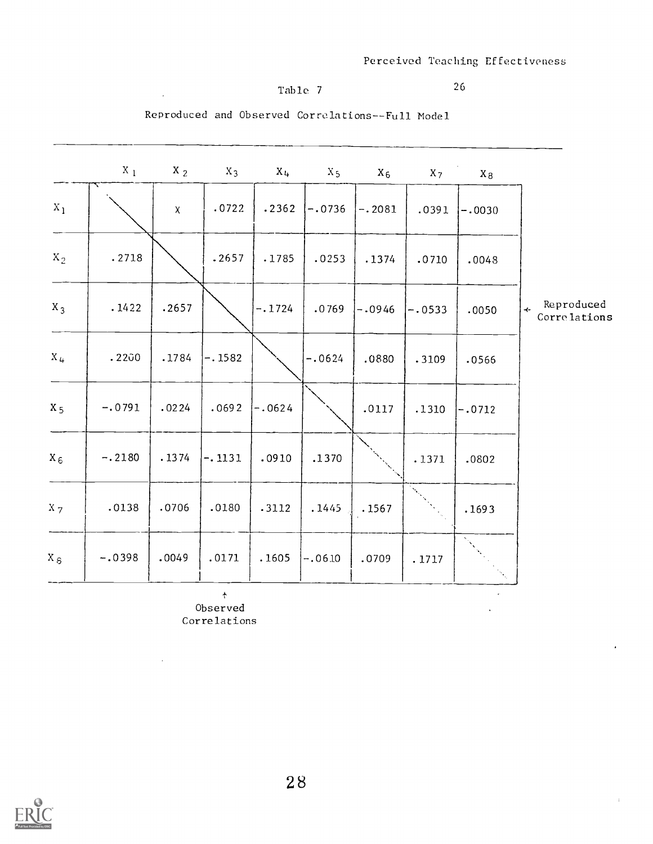$\bar{a}$ 

 $\cdot$ 

 $\pm$ 

# Table 7

 $\sim 10^{-10}$ 

-----

26

Reproduced and Observed Correlations--Full Model

|                | $X_{1}$  | $X_2$        | $X_3$    | $X_{4}$               | $X_5$    | $X_6$    | $X_7$    | $\mathbf{x}_8$ |                                                    |
|----------------|----------|--------------|----------|-----------------------|----------|----------|----------|----------------|----------------------------------------------------|
| $\mathbf{x}_1$ |          | $\pmb{\chi}$ | .0722    | .2362                 | $-.0736$ | $-.2081$ | .0391    | $-.0030$       |                                                    |
| $X_2$          | .2718    |              | .2657    | .1785                 | .0253    | .1374    | .0710    | .0048          |                                                    |
| $X_3$          | .1422    | .2657        |          | $-.1724$              | .0769    | $-.0946$ | $-.0533$ | .0050          | Reproduced<br>$\ddot{\phantom{1}}$<br>Correlations |
| $X_{4}$        | .2200    | .1784        | $-.1582$ |                       | $-.0624$ | .0880    | .3109    | .0566          |                                                    |
| $X_5$          | $-.0791$ | .0224        | .0692    | $\left[-.0624\right]$ |          | .0117    | .1310    | $-.0712$       |                                                    |
| $X_6$          | $-.2180$ | .1374        | $-.1131$ | .0910                 | .1370    |          | .1371    | .0802          |                                                    |
| $X_{7}$        | .0138    | .0706        | .0180    | .3112                 | .1445    | .1567    |          | .1693          |                                                    |
| $X_{S}$        | $-.0398$ | .0049        | .0171    | .1605                 | $-.0610$ | .0709    | .1717    |                |                                                    |

 $\hat{\mathcal{T}}$ Observed Correlations

 $\bar{z}$ 

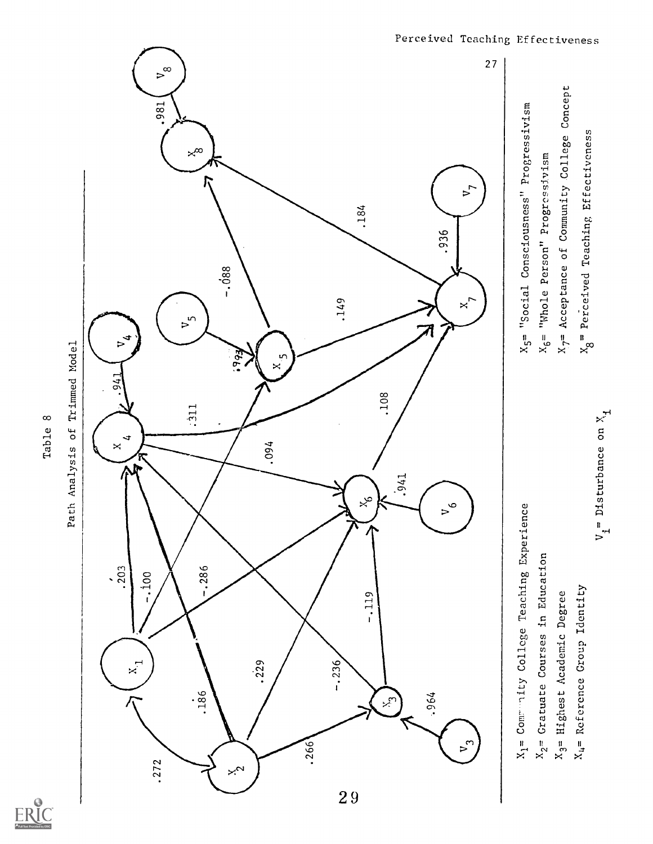

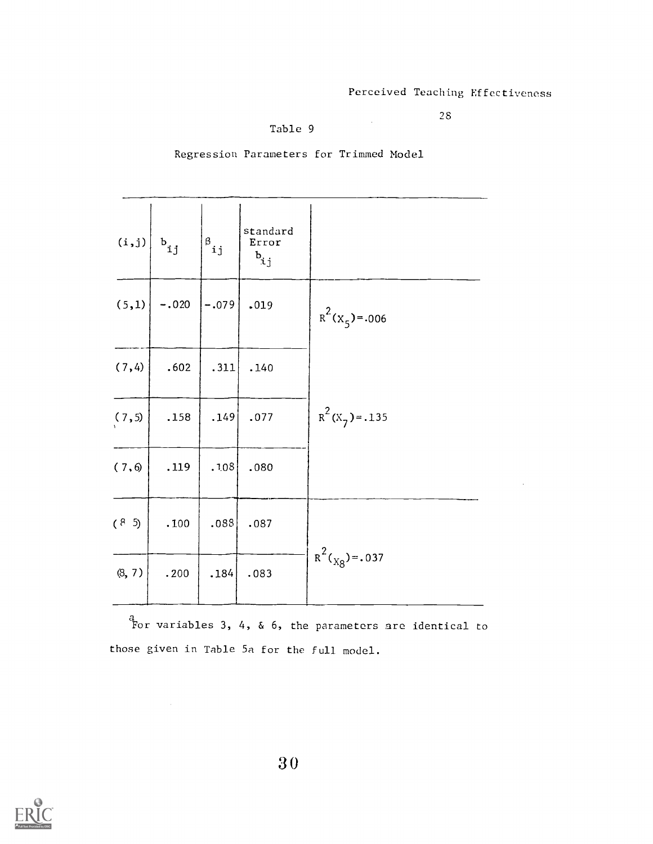$\sim$ 

98

Table 9

l,

| (i,j)  | $\mathbf{b}_{\mathtt{i}\mathtt{j}}$ | $\mathbf{s}_{ij}$ | standard<br>Error<br>$b_{i,j}$ |                                |
|--------|-------------------------------------|-------------------|--------------------------------|--------------------------------|
| (5,1)  | $-.020$                             | $-.079$           | .019                           | $R^2(x_5) = .006$              |
| (7, 4) | .602                                | .311              | .140                           |                                |
| (7, 5) | .158                                | .149              | .077                           | $R^2$ (X <sub>7</sub> ) = .135 |
| (7, 6) | .119                                | .108              | .080                           |                                |
| (8, 5) | .100                                | .088              | .087                           |                                |
| (8, 7) | .200                                | .184              | .083                           | $R^{2}(x_{8}) = .037$          |
|        |                                     |                   |                                |                                |

Regression Parameters for Trimmed Model

 $\frac{a}{b}$  ariables 3, 4, & 6, the parameters are identical to those given in Table 5a for the full model.

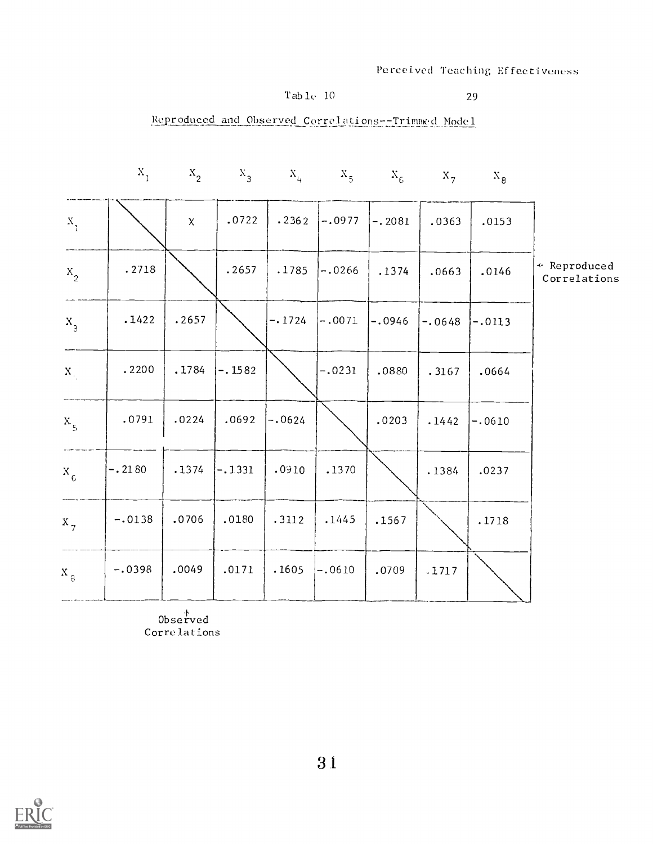# $Table 10$

# 29

# Reproduced and Observed Correlations--Trimmed Model

|                             | $X_{1}$  |              |          |          | $X_2$ $X_3$ $X_4$ $X_5$ $X_6$ $X_7$ |          |          | $X_{8}$  |                              |
|-----------------------------|----------|--------------|----------|----------|-------------------------------------|----------|----------|----------|------------------------------|
| $\mathbf{x}_{_1}$           |          | $\pmb{\chi}$ | .0722    | .2362    | $-.0977$                            | $-.2081$ | .0363    | .0153    |                              |
| $X_{2}$                     | .2718    |              | .2657    | .1785    | $-.0266$                            | .1374    | .0663    | .0146    | * Reproduced<br>Correlations |
| $X_3$                       | .1422    | .2657        |          | $-.1724$ | $-.0071$                            | $-.0946$ | $-.0648$ | $-.0113$ |                              |
| $\mathbf{X}_{\mathbf{q}_i}$ | .2200    | .1784        | $-.1582$ |          | $-.0231$                            | .0880    | .3167    | .0664    |                              |
| $x_{5}$                     | .0791    | .0224        | .0692    | $-.0624$ |                                     | .0203    | .1442    | $-.0610$ |                              |
| $x_{6}$                     | $-.2180$ | .1374        | $-.1331$ | .0910    | .1370                               |          | .1384    | .0237    |                              |
| $x_{7}$                     | $-.0138$ | .0706        | .0180    | .3112    | .1445                               | .1567    |          | .1718    |                              |
| $x_{\frac{1}{3}}$           | $-.0398$ | .0049        | .0171    | .1605    | $-.0610$                            | .0709    | .1717    |          |                              |

Observed Correlations

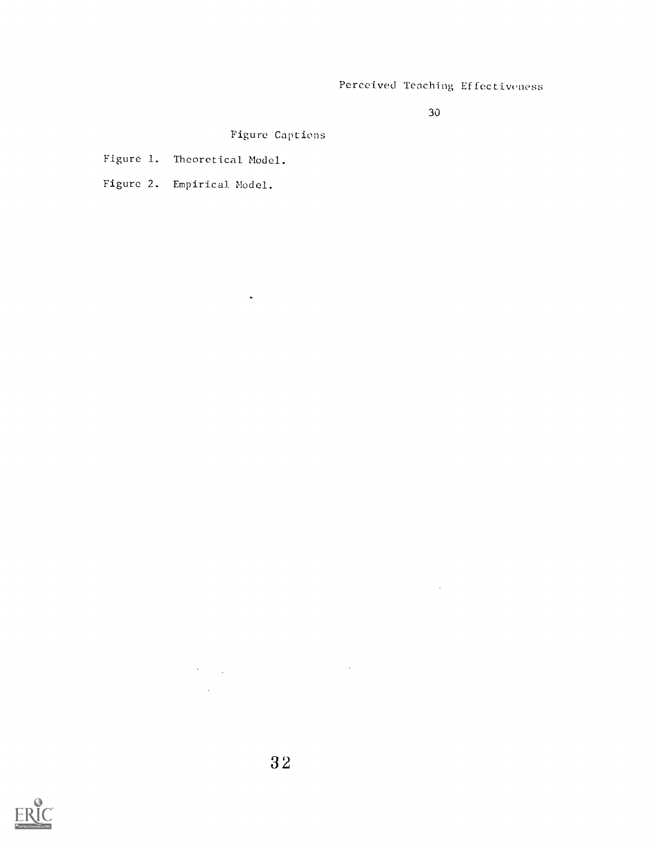30

 $\sim 10^7$ 

Figure Captions

 $\mathbf{v}^{\prime}$ 

Figure 1. Theoretical Model.

Figure 2. Empirical Model.

 $\sim$   $\sim$ 

 $\label{eq:2.1} \mathcal{L}(\mathcal{L}^{\text{max}}_{\text{max}}(\mathcal{L}^{\text{max}}_{\text{max}})) = 0.$ 

 $\mathcal{L}^{\text{max}}_{\text{max}}$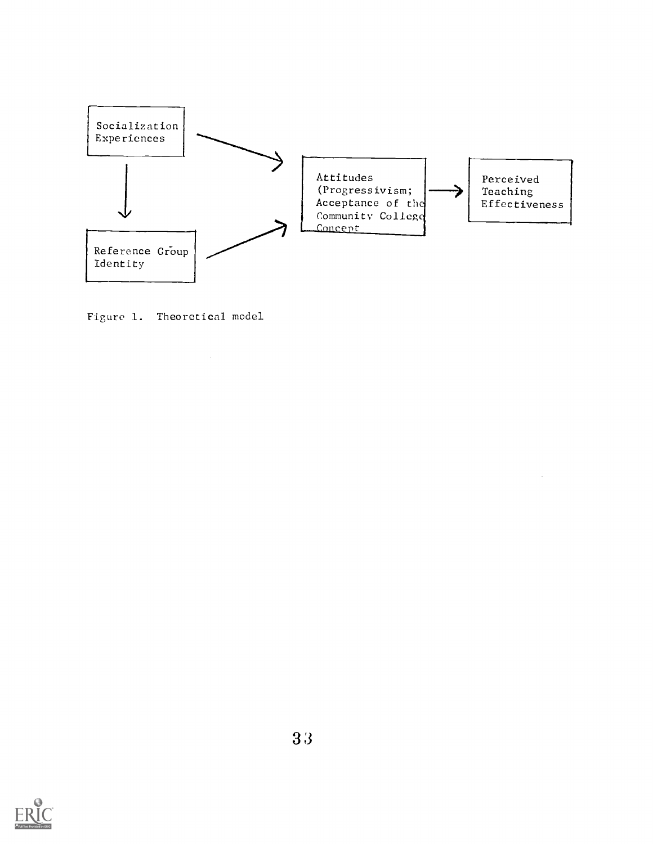

Figure 1. Theoretical model